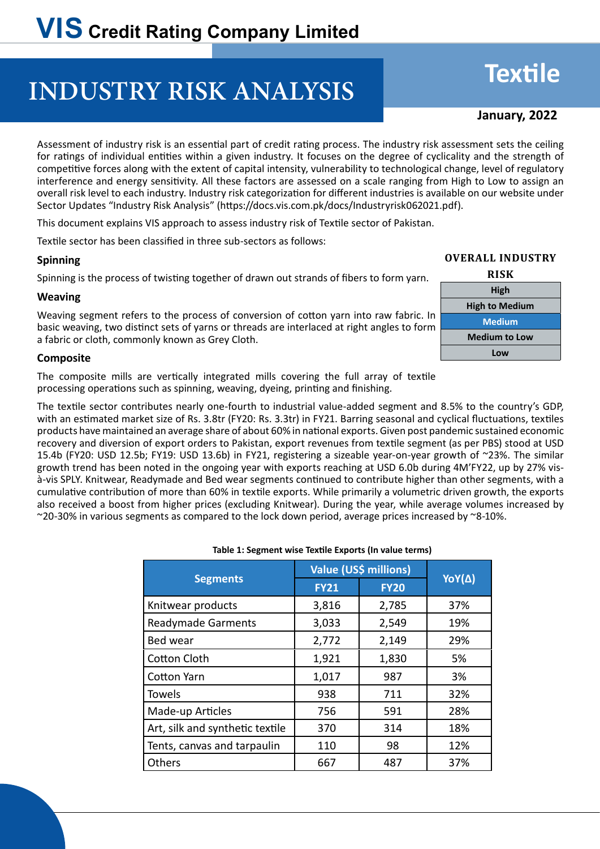## **INDUSTRY RISK ANALYSIS**

# **Textile**

## **January, 2022**

Assessment of industry risk is an essential part of credit rating process. The industry risk assessment sets the ceiling for ratings of individual entities within a given industry. It focuses on the degree of cyclicality and the strength of competitive forces along with the extent of capital intensity, vulnerability to technological change, level of regulatory interference and energy sensitivity. All these factors are assessed on a scale ranging from High to Low to assign an overall risk level to each industry. Industry risk categorization for different industries is available on our website under Sector Updates "Industry Risk Analysis" (https://docs.vis.com.pk/docs/Industryrisk062021.pdf).

This document explains VIS approach to assess industry risk of Textile sector of Pakistan.

Textile sector has been classified in three sub-sectors as follows:

#### **Spinning**

Spinning is the process of twisting together of drawn out strands of fibers to form yarn.

#### **Weaving**

Weaving segment refers to the process of conversion of cotton yarn into raw fabric. In basic weaving, two distinct sets of yarns or threads are interlaced at right angles to form a fabric or cloth, commonly known as Grey Cloth.

### **Composite**

The composite mills are vertically integrated mills covering the full array of textile processing operations such as spinning, weaving, dyeing, printing and finishing.

The textile sector contributes nearly one-fourth to industrial value-added segment and 8.5% to the country's GDP, with an estimated market size of Rs. 3.8tr (FY20: Rs. 3.3tr) in FY21. Barring seasonal and cyclical fluctuations, textiles products have maintained an average share of about 60% in national exports. Given post pandemic sustained economic recovery and diversion of export orders to Pakistan, export revenues from textile segment (as per PBS) stood at USD 15.4b (FY20: USD 12.5b; FY19: USD 13.6b) in FY21, registering a sizeable year-on-year growth of ~23%. The similar growth trend has been noted in the ongoing year with exports reaching at USD 6.0b during 4M'FY22, up by 27% visà-vis SPLY. Knitwear, Readymade and Bed wear segments continued to contribute higher than other segments, with a cumulative contribution of more than 60% in textile exports. While primarily a volumetric driven growth, the exports also received a boost from higher prices (excluding Knitwear). During the year, while average volumes increased by  $\sim$  20-30% in various segments as compared to the lock down period, average prices increased by  $\sim$ 8-10%.

#### **Table 1: Segment wise Textile Exports (In value terms)**

|                                 | Value (US\$ millions) |             |               |  |
|---------------------------------|-----------------------|-------------|---------------|--|
| <b>Segments</b>                 | <b>FY21</b>           | <b>FY20</b> | <b>YoY(Δ)</b> |  |
| Knitwear products               | 3,816                 | 2,785       | 37%           |  |
| <b>Readymade Garments</b>       | 3,033                 | 2,549       | 19%           |  |
| Bed wear                        | 2,772                 | 2,149       | 29%           |  |
| Cotton Cloth                    | 1,921                 | 1,830       | 5%            |  |
| Cotton Yarn                     | 1,017                 | 987         | 3%            |  |
| <b>Towels</b>                   | 938                   | 711         | 32%           |  |
| Made-up Articles                | 756                   | 591         | 28%           |  |
| Art, silk and synthetic textile | 370                   | 314         | 18%           |  |
| Tents, canvas and tarpaulin     | 110                   | 98          | 12%           |  |
| Others                          | 667                   | 487         | 37%           |  |

#### **Overall Industry**

| <b>RISK</b>           |
|-----------------------|
| High                  |
| <b>High to Medium</b> |
| <b>Medium</b>         |
| <b>Medium to Low</b>  |
| Low                   |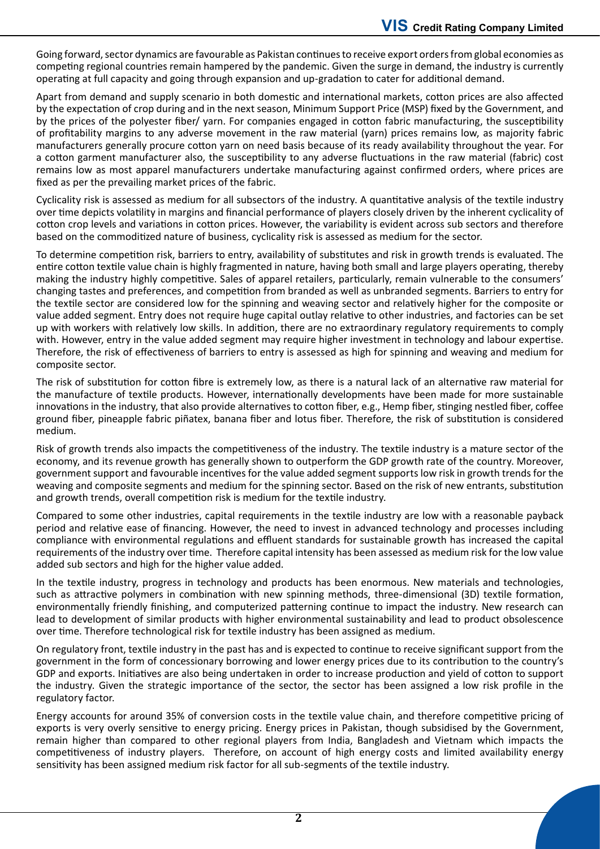Going forward, sector dynamics are favourable as Pakistan continues to receive export orders from global economies as competing regional countries remain hampered by the pandemic. Given the surge in demand, the industry is currently operating at full capacity and going through expansion and up-gradation to cater for additional demand.

Apart from demand and supply scenario in both domestic and international markets, cotton prices are also affected by the expectation of crop during and in the next season, Minimum Support Price (MSP) fixed by the Government, and by the prices of the polyester fiber/ yarn. For companies engaged in cotton fabric manufacturing, the susceptibility of profitability margins to any adverse movement in the raw material (yarn) prices remains low, as majority fabric manufacturers generally procure cotton yarn on need basis because of its ready availability throughout the year. For a cotton garment manufacturer also, the susceptibility to any adverse fluctuations in the raw material (fabric) cost remains low as most apparel manufacturers undertake manufacturing against confirmed orders, where prices are fixed as per the prevailing market prices of the fabric.

Cyclicality risk is assessed as medium for all subsectors of the industry. A quantitative analysis of the textile industry over time depicts volatility in margins and financial performance of players closely driven by the inherent cyclicality of cotton crop levels and variations in cotton prices. However, the variability is evident across sub sectors and therefore based on the commoditized nature of business, cyclicality risk is assessed as medium for the sector.

To determine competition risk, barriers to entry, availability of substitutes and risk in growth trends is evaluated. The entire cotton textile value chain is highly fragmented in nature, having both small and large players operating, thereby making the industry highly competitive. Sales of apparel retailers, particularly, remain vulnerable to the consumers' changing tastes and preferences, and competition from branded as well as unbranded segments. Barriers to entry for the textile sector are considered low for the spinning and weaving sector and relatively higher for the composite or value added segment. Entry does not require huge capital outlay relative to other industries, and factories can be set up with workers with relatively low skills. In addition, there are no extraordinary regulatory requirements to comply with. However, entry in the value added segment may require higher investment in technology and labour expertise. Therefore, the risk of effectiveness of barriers to entry is assessed as high for spinning and weaving and medium for composite sector.

The risk of substitution for cotton fibre is extremely low, as there is a natural lack of an alternative raw material for the manufacture of textile products. However, internationally developments have been made for more sustainable innovations in the industry, that also provide alternatives to cotton fiber, e.g., Hemp fiber, stinging nestled fiber, coffee ground fiber, pineapple fabric piñatex, banana fiber and lotus fiber. Therefore, the risk of substitution is considered medium.

Risk of growth trends also impacts the competitiveness of the industry. The textile industry is a mature sector of the economy, and its revenue growth has generally shown to outperform the GDP growth rate of the country. Moreover, government support and favourable incentives for the value added segment supports low risk in growth trends for the weaving and composite segments and medium for the spinning sector. Based on the risk of new entrants, substitution and growth trends, overall competition risk is medium for the textile industry.

Compared to some other industries, capital requirements in the textile industry are low with a reasonable payback period and relative ease of financing. However, the need to invest in advanced technology and processes including compliance with environmental regulations and effluent standards for sustainable growth has increased the capital requirements of the industry over time. Therefore capital intensity has been assessed as medium risk for the low value added sub sectors and high for the higher value added.

In the textile industry, progress in technology and products has been enormous. New materials and technologies, such as attractive polymers in combination with new spinning methods, three-dimensional (3D) textile formation, environmentally friendly finishing, and computerized patterning continue to impact the industry. New research can lead to development of similar products with higher environmental sustainability and lead to product obsolescence over time. Therefore technological risk for textile industry has been assigned as medium.

On regulatory front, textile industry in the past has and is expected to continue to receive significant support from the government in the form of concessionary borrowing and lower energy prices due to its contribution to the country's GDP and exports. Initiatives are also being undertaken in order to increase production and yield of cotton to support the industry. Given the strategic importance of the sector, the sector has been assigned a low risk profile in the regulatory factor.

Energy accounts for around 35% of conversion costs in the textile value chain, and therefore competitive pricing of exports is very overly sensitive to energy pricing. Energy prices in Pakistan, though subsidised by the Government, remain higher than compared to other regional players from India, Bangladesh and Vietnam which impacts the competitiveness of industry players. Therefore, on account of high energy costs and limited availability energy sensitivity has been assigned medium risk factor for all sub-segments of the textile industry.